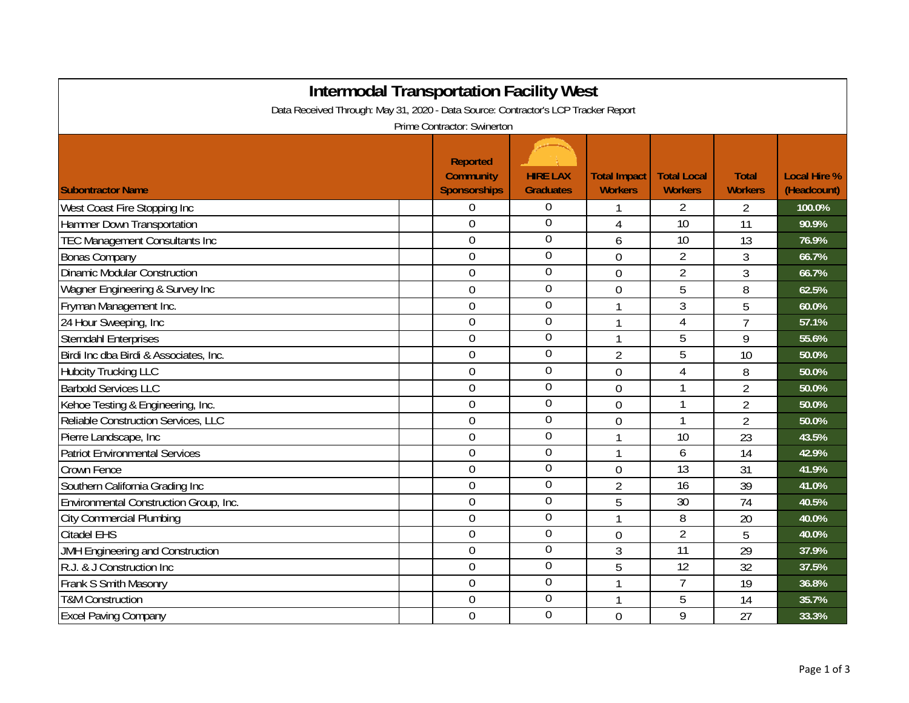| <b>Intermodal Transportation Facility West</b><br>Data Received Through: May 31, 2020 - Data Source: Contractor's LCP Tracker Report<br>Prime Contractor: Swinerton |                                                     |                                     |                                       |                                      |                                |                                    |  |
|---------------------------------------------------------------------------------------------------------------------------------------------------------------------|-----------------------------------------------------|-------------------------------------|---------------------------------------|--------------------------------------|--------------------------------|------------------------------------|--|
| <b>Subontractor Name</b>                                                                                                                                            | <b>Reported</b><br><b>Community</b><br>Sponsorships | <b>HIRE LAX</b><br><b>Graduates</b> | <b>Total Impact</b><br><b>Workers</b> | <b>Total Local</b><br><b>Workers</b> | <b>Total</b><br><b>Workers</b> | <b>Local Hire %</b><br>(Headcount) |  |
| West Coast Fire Stopping Inc                                                                                                                                        | $\Omega$                                            | $\mathbf 0$                         |                                       | 2                                    | 2                              | 100.0%                             |  |
| Hammer Down Transportation                                                                                                                                          | 0                                                   | 0                                   | 4                                     | 10                                   | 11                             | 90.9%                              |  |
| <b>TEC Management Consultants Inc</b>                                                                                                                               | $\overline{0}$                                      | $\overline{0}$                      | 6                                     | 10                                   | 13                             | 76.9%                              |  |
| <b>Bonas Company</b>                                                                                                                                                | $\overline{0}$                                      | $\boldsymbol{0}$                    | $\overline{0}$                        | $\overline{2}$                       | 3                              | 66.7%                              |  |
| <b>Dinamic Modular Construction</b>                                                                                                                                 | $\overline{0}$                                      | $\overline{0}$                      | $\mathbf 0$                           | $\overline{2}$                       | 3                              | 66.7%                              |  |
| Wagner Engineering & Survey Inc                                                                                                                                     | $\overline{0}$                                      | $\mathbf 0$                         | 0                                     | 5                                    | 8                              | 62.5%                              |  |
| Fryman Management Inc.                                                                                                                                              | 0                                                   | $\overline{0}$                      | 1                                     | 3                                    | 5                              | 60.0%                              |  |
| 24 Hour Sweeping, Inc                                                                                                                                               | 0                                                   | 0                                   |                                       | 4                                    | $\overline{7}$                 | 57.1%                              |  |
| <b>Sterndahl Enterprises</b>                                                                                                                                        | 0                                                   | $\boldsymbol{0}$                    | $\mathbf{1}$                          | 5                                    | 9                              | 55.6%                              |  |
| Birdi Inc dba Birdi & Associates, Inc.                                                                                                                              | $\overline{0}$                                      | $\boldsymbol{0}$                    | $\overline{2}$                        | 5                                    | 10                             | 50.0%                              |  |
| <b>Hubcity Trucking LLC</b>                                                                                                                                         | 0                                                   | $\overline{0}$                      | $\mathbf 0$                           | 4                                    | 8                              | 50.0%                              |  |
| <b>Barbold Services LLC</b>                                                                                                                                         | $\overline{0}$                                      | $\overline{0}$                      | $\mathbf 0$                           |                                      | $\overline{2}$                 | 50.0%                              |  |
| Kehoe Testing & Engineering, Inc.                                                                                                                                   | $\mathbf 0$                                         | $\mathbf 0$                         | $\mathbf 0$                           | 1                                    | $\overline{2}$                 | 50.0%                              |  |
| Reliable Construction Services, LLC                                                                                                                                 | 0                                                   | $\boldsymbol{0}$                    | 0                                     | 1                                    | $\overline{2}$                 | 50.0%                              |  |
| Pierre Landscape, Inc                                                                                                                                               | 0                                                   | $\overline{0}$                      | $\mathbf{1}$                          | 10                                   | 23                             | 43.5%                              |  |
| <b>Patriot Environmental Services</b>                                                                                                                               | 0                                                   | $\overline{0}$                      | $\mathbf{1}$                          | 6                                    | 14                             | 42.9%                              |  |
| <b>Crown Fence</b>                                                                                                                                                  | 0                                                   | $\overline{0}$                      | $\overline{0}$                        | 13                                   | 31                             | 41.9%                              |  |
| Southern California Grading Inc                                                                                                                                     | $\overline{0}$                                      | $\boldsymbol{0}$                    | $\overline{2}$                        | 16                                   | 39                             | 41.0%                              |  |
| Environmental Construction Group, Inc.                                                                                                                              | $\overline{0}$                                      | $\overline{0}$                      | 5                                     | $\overline{30}$                      | $\overline{74}$                | 40.5%                              |  |
| <b>City Commercial Plumbing</b>                                                                                                                                     | $\overline{0}$                                      | $\overline{0}$                      | $\mathbf{1}$                          | $\overline{8}$                       | 20                             | 40.0%                              |  |
| <b>Citadel EHS</b>                                                                                                                                                  | 0                                                   | $\overline{0}$                      | $\mathbf 0$                           | $\overline{2}$                       | 5                              | 40.0%                              |  |
| JMH Engineering and Construction                                                                                                                                    | $\mathbf 0$                                         | $\boldsymbol{0}$                    | 3                                     | 11                                   | 29                             | 37.9%                              |  |
| R.J. & J Construction Inc                                                                                                                                           | 0                                                   | $\boldsymbol{0}$                    | 5                                     | 12                                   | 32                             | 37.5%                              |  |
| Frank S Smith Masonry                                                                                                                                               | 0                                                   | 0                                   | 1                                     | $\overline{1}$                       | 19                             | 36.8%                              |  |
| <b>T&amp;M Construction</b>                                                                                                                                         | 0                                                   | $\boldsymbol{0}$                    |                                       | 5                                    | 14                             | 35.7%                              |  |
| <b>Excel Paving Company</b>                                                                                                                                         | $\overline{0}$                                      | $\overline{0}$                      | $\overline{0}$                        | 9                                    | 27                             | 33.3%                              |  |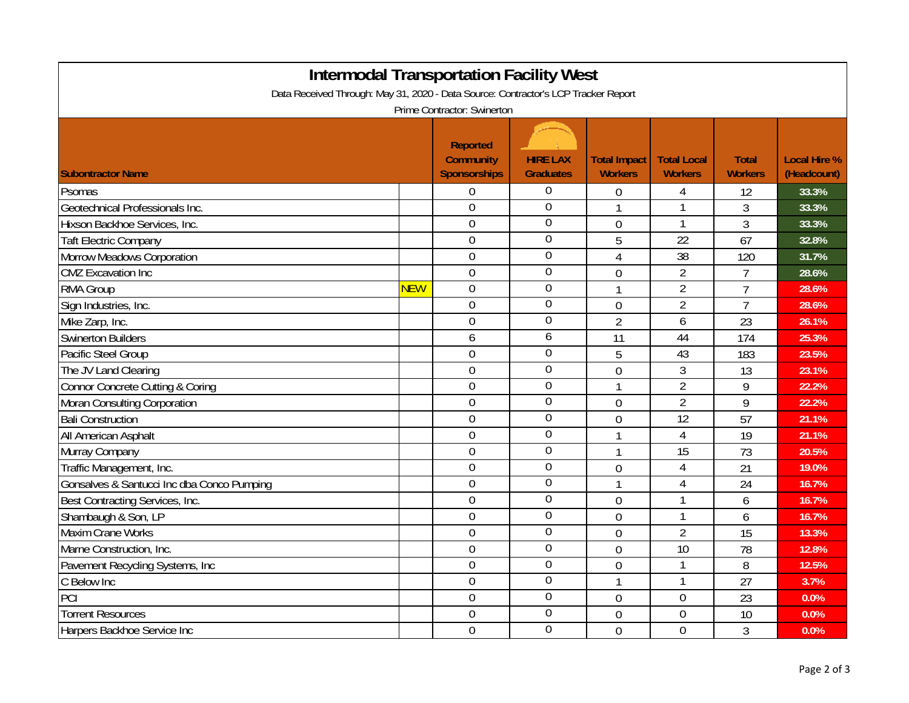| <b>Intermodal Transportation Facility West</b><br>Data Received Through: May 31, 2020 - Data Source: Contractor's LCP Tracker Report |            |                                                            |                                     |                                       |                                      |                                |                                    |  |
|--------------------------------------------------------------------------------------------------------------------------------------|------------|------------------------------------------------------------|-------------------------------------|---------------------------------------|--------------------------------------|--------------------------------|------------------------------------|--|
| Prime Contractor: Swinerton                                                                                                          |            |                                                            |                                     |                                       |                                      |                                |                                    |  |
| <b>Subontractor Name</b>                                                                                                             |            | <b>Reported</b><br><b>Community</b><br><b>Sponsorships</b> | <b>HIRE LAX</b><br><b>Graduates</b> | <b>Total Impact</b><br><b>Workers</b> | <b>Total Local</b><br><b>Workers</b> | <b>Total</b><br><b>Workers</b> | <b>Local Hire %</b><br>(Headcount) |  |
| Psomas                                                                                                                               |            | $\boldsymbol{0}$                                           | $\overline{0}$                      | 0                                     | 4                                    | 12                             | 33.3%                              |  |
| Geotechnical Professionals Inc.                                                                                                      |            | $\mathbf 0$                                                | $\mathbf 0$                         | $\mathbf{1}$                          | $\mathbf{1}$                         | 3                              | 33.3%                              |  |
| Hixson Backhoe Services, Inc.                                                                                                        |            | $\mathbf 0$                                                | $\overline{0}$                      | $\overline{0}$                        | $\mathbf{1}$                         | 3                              | 33.3%                              |  |
| <b>Taft Electric Company</b>                                                                                                         |            | $\mathbf 0$                                                | 0                                   | 5                                     | $\overline{22}$                      | 67                             | 32.8%                              |  |
| Morrow Meadows Corporation                                                                                                           |            | $\overline{0}$                                             | $\overline{0}$                      | $\overline{4}$                        | $\overline{38}$                      | 120                            | 31.7%                              |  |
| <b>CMZ</b> Excavation Inc                                                                                                            |            | $\overline{0}$                                             | $\boldsymbol{0}$                    | $\overline{0}$                        | $\overline{2}$                       | $\overline{7}$                 | 28.6%                              |  |
| <b>RMA Group</b>                                                                                                                     | <b>NEW</b> | $\boldsymbol{0}$                                           | $\overline{0}$                      | 1                                     | $\overline{2}$                       | $\overline{7}$                 | 28.6%                              |  |
| Sign Industries, Inc.                                                                                                                |            | $\overline{0}$                                             | 0                                   | $\overline{0}$                        | $\overline{2}$                       | $\overline{7}$                 | 28.6%                              |  |
| Mike Zarp, Inc.                                                                                                                      |            | $\boldsymbol{0}$                                           | $\boldsymbol{0}$                    | $\overline{2}$                        | 6                                    | 23                             | 26.1%                              |  |
| <b>Swinerton Builders</b>                                                                                                            |            | 6                                                          | 6                                   | 11                                    | 44                                   | 174                            | 25.3%                              |  |
| Pacific Steel Group                                                                                                                  |            | $\overline{0}$                                             | $\boldsymbol{0}$                    | 5                                     | 43                                   | 183                            | 23.5%                              |  |
| The JV Land Clearing                                                                                                                 |            | $\overline{0}$                                             | $\boldsymbol{0}$                    | 0                                     | 3                                    | 13                             | 23.1%                              |  |
| Connor Concrete Cutting & Coring                                                                                                     |            | $\overline{0}$                                             | 0                                   | 1                                     | $\overline{2}$                       | 9                              | 22.2%                              |  |
| Moran Consulting Corporation                                                                                                         |            | $\boldsymbol{0}$                                           | $\overline{0}$                      | 0                                     | $\overline{2}$                       | 9                              | 22.2%                              |  |
| <b>Bali Construction</b>                                                                                                             |            | $\overline{0}$                                             | $\mathbf 0$                         | $\overline{0}$                        | 12                                   | 57                             | 21.1%                              |  |
| All American Asphalt                                                                                                                 |            | $\boldsymbol{0}$                                           | $\overline{0}$                      |                                       | $\overline{4}$                       | 19                             | 21.1%                              |  |
| Murray Company                                                                                                                       |            | $\boldsymbol{0}$                                           | $\overline{0}$                      | 1                                     | 15                                   | 73                             | 20.5%                              |  |
| Traffic Management, Inc.                                                                                                             |            | $\boldsymbol{0}$                                           | $\boldsymbol{0}$                    | 0                                     | 4                                    | 21                             | 19.0%                              |  |
| Gonsalves & Santucci Inc dba Conco Pumping                                                                                           |            | $\overline{0}$                                             | $\boldsymbol{0}$                    | 1                                     | $\overline{4}$                       | 24                             | 16.7%                              |  |
| Best Contracting Services, Inc.                                                                                                      |            | $\boldsymbol{0}$                                           | $\boldsymbol{0}$                    | 0                                     | $\mathbf{1}$                         | 6                              | 16.7%                              |  |
| Shambaugh & Son, LP                                                                                                                  |            | $\overline{0}$                                             | 0                                   | $\overline{0}$                        | $\mathbf{1}$                         | 6                              | 16.7%                              |  |
| Maxim Crane Works                                                                                                                    |            | $\overline{0}$                                             | 0                                   | $\overline{0}$                        | $\overline{2}$                       | 15                             | 13.3%                              |  |
| Marne Construction, Inc.                                                                                                             |            | $\boldsymbol{0}$                                           | 0                                   | 0                                     | $\overline{10}$                      | 78                             | 12.8%                              |  |
| Pavement Recycling Systems, Inc                                                                                                      |            | $\overline{0}$                                             | $\overline{0}$                      | $\overline{0}$                        | $\mathbf{1}$                         | 8                              | 12.5%                              |  |
| C Below Inc                                                                                                                          |            | $\mathbf 0$                                                | $\overline{0}$                      | 1                                     | 1                                    | 27                             | 3.7%                               |  |
| PCI                                                                                                                                  |            | $\mathbf 0$                                                | $\overline{0}$                      | $\mathbf 0$                           | $\mathbf 0$                          | 23                             | 0.0%                               |  |
| <b>Torrent Resources</b>                                                                                                             |            | $\boldsymbol{0}$                                           | $\mathbf 0$                         | $\mathbf{0}$                          | $\boldsymbol{0}$                     | 10                             | 0.0%                               |  |
| Harpers Backhoe Service Inc                                                                                                          |            | $\overline{0}$                                             | $\overline{0}$                      | $\overline{0}$                        | $\overline{0}$                       | 3                              | 0.0%                               |  |